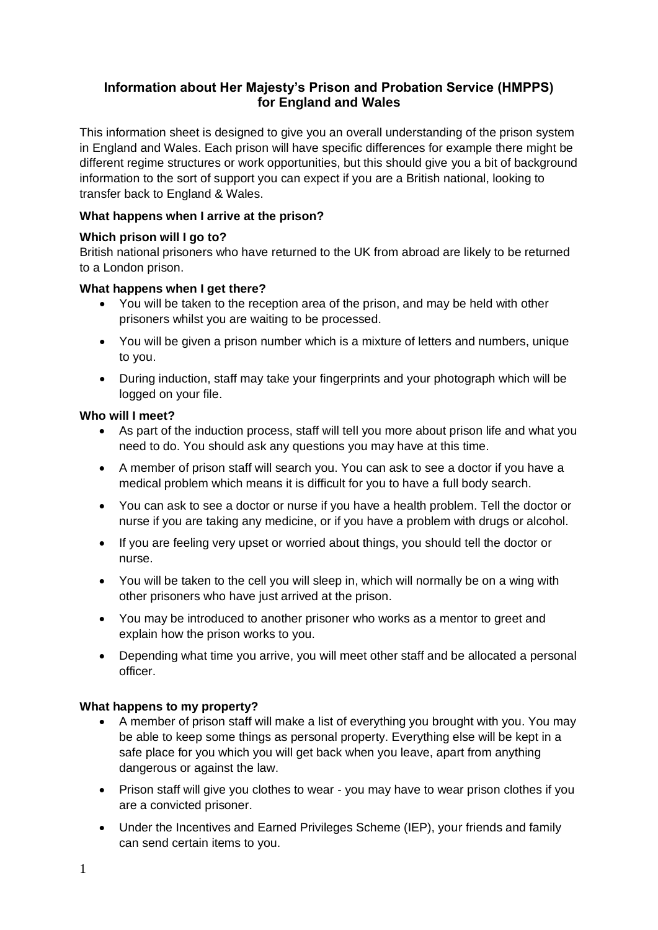# **Information about Her Majesty's Prison and Probation Service (HMPPS) for England and Wales**

This information sheet is designed to give you an overall understanding of the prison system in England and Wales. Each prison will have specific differences for example there might be different regime structures or work opportunities, but this should give you a bit of background information to the sort of support you can expect if you are a British national, looking to transfer back to England & Wales.

### **What happens when I arrive at the prison?**

### **Which prison will I go to?**

British national prisoners who have returned to the UK from abroad are likely to be returned to a London prison.

### **What happens when I get there?**

- You will be taken to the reception area of the prison, and may be held with other prisoners whilst you are waiting to be processed.
- You will be given a prison number which is a mixture of letters and numbers, unique to you.
- During induction, staff may take your fingerprints and your photograph which will be logged on your file.

### **Who will I meet?**

- As part of the induction process, staff will tell you more about prison life and what you need to do. You should ask any questions you may have at this time.
- A member of prison staff will search you. You can ask to see a doctor if you have a medical problem which means it is difficult for you to have a full body search.
- You can ask to see a doctor or nurse if you have a health problem. Tell the doctor or nurse if you are taking any medicine, or if you have a problem with drugs or alcohol.
- If you are feeling very upset or worried about things, you should tell the doctor or nurse.
- You will be taken to the cell you will sleep in, which will normally be on a wing with other prisoners who have just arrived at the prison.
- You may be introduced to another prisoner who works as a mentor to greet and explain how the prison works to you.
- Depending what time you arrive, you will meet other staff and be allocated a personal officer.

## **What happens to my property?**

- A member of prison staff will make a list of everything you brought with you. You may be able to keep some things as personal property. Everything else will be kept in a safe place for you which you will get back when you leave, apart from anything dangerous or against the law.
- Prison staff will give you clothes to wear you may have to wear prison clothes if you are a convicted prisoner.
- Under the Incentives and Earned Privileges Scheme (IEP), your friends and family can send certain items to you.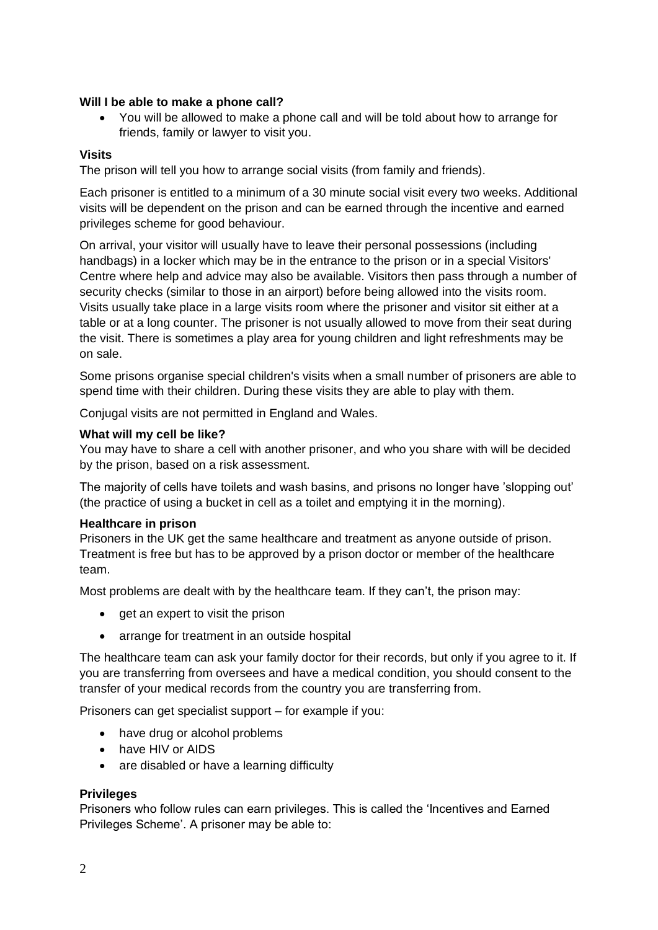### **Will I be able to make a phone call?**

• You will be allowed to make a phone call and will be told about how to arrange for friends, family or lawyer to visit you.

### **Visits**

The prison will tell you how to arrange social visits (from family and friends).

Each prisoner is entitled to a minimum of a 30 minute social visit every two weeks. Additional visits will be dependent on the prison and can be earned through the incentive and earned privileges scheme for good behaviour.

On arrival, your visitor will usually have to leave their personal possessions (including handbags) in a locker which may be in the entrance to the prison or in a special Visitors' Centre where help and advice may also be available. Visitors then pass through a number of security checks (similar to those in an airport) before being allowed into the visits room. Visits usually take place in a large visits room where the prisoner and visitor sit either at a table or at a long counter. The prisoner is not usually allowed to move from their seat during the visit. There is sometimes a play area for young children and light refreshments may be on sale.

Some prisons organise special children's visits when a small number of prisoners are able to spend time with their children. During these visits they are able to play with them.

Conjugal visits are not permitted in England and Wales.

### **What will my cell be like?**

You may have to share a cell with another prisoner, and who you share with will be decided by the prison, based on a risk assessment.

The majority of cells have toilets and wash basins, and prisons no longer have 'slopping out' (the practice of using a bucket in cell as a toilet and emptying it in the morning).

### **Healthcare in prison**

Prisoners in the UK get the same healthcare and treatment as anyone outside of prison. Treatment is free but has to be approved by a prison doctor or member of the healthcare team.

Most problems are dealt with by the healthcare team. If they can't, the prison may:

- get an expert to visit the prison
- arrange for treatment in an outside hospital

The healthcare team can ask your family doctor for their records, but only if you agree to it. If you are transferring from oversees and have a medical condition, you should consent to the transfer of your medical records from the country you are transferring from.

Prisoners can get specialist support – for example if you:

- have drug or alcohol problems
- have HIV or AIDS
- are disabled or have a learning difficulty

### **Privileges**

Prisoners who follow rules can earn privileges. This is called the 'Incentives and Earned Privileges Scheme'. A prisoner may be able to: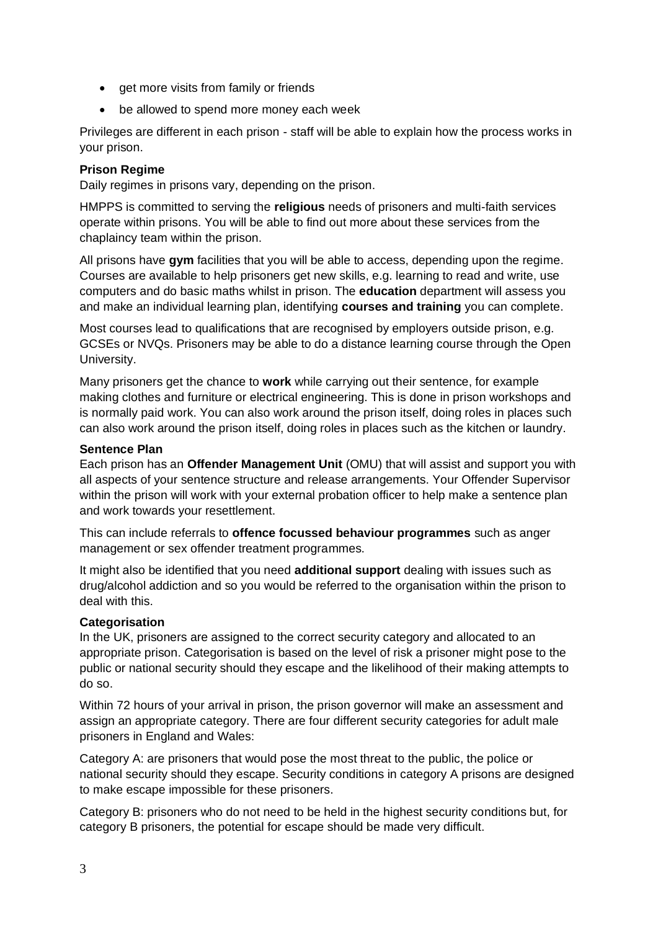- get more visits from family or friends
- be allowed to spend more money each week

Privileges are different in each prison - staff will be able to explain how the process works in your prison.

### **Prison Regime**

Daily regimes in prisons vary, depending on the prison.

HMPPS is committed to serving the **religious** needs of prisoners and multi-faith services operate within prisons. You will be able to find out more about these services from the chaplaincy team within the prison.

All prisons have **gym** facilities that you will be able to access, depending upon the regime. Courses are available to help prisoners get new skills, e.g. learning to read and write, use computers and do basic maths whilst in prison. The **education** department will assess you and make an individual learning plan, identifying **courses and training** you can complete.

Most courses lead to qualifications that are recognised by employers outside prison, e.g. GCSEs or NVQs. Prisoners may be able to do a distance learning course through the Open University.

Many prisoners get the chance to **work** while carrying out their sentence, for example making clothes and furniture or electrical engineering. This is done in prison workshops and is normally paid work. You can also work around the prison itself, doing roles in places such can also work around the prison itself, doing roles in places such as the kitchen or laundry.

### **Sentence Plan**

Each prison has an **Offender Management Unit** (OMU) that will assist and support you with all aspects of your sentence structure and release arrangements. Your Offender Supervisor within the prison will work with your external probation officer to help make a sentence plan and work towards your resettlement.

This can include referrals to **offence focussed behaviour programmes** such as anger management or sex offender treatment programmes.

It might also be identified that you need **additional support** dealing with issues such as drug/alcohol addiction and so you would be referred to the organisation within the prison to deal with this.

### **Categorisation**

In the UK, prisoners are assigned to the correct security category and allocated to an appropriate prison. Categorisation is based on the level of risk a prisoner might pose to the public or national security should they escape and the likelihood of their making attempts to do so.

Within 72 hours of your arrival in prison, the prison governor will make an assessment and assign an appropriate category. There are four different security categories for adult male prisoners in England and Wales:

Category A: are prisoners that would pose the most threat to the public, the police or national security should they escape. Security conditions in category A prisons are designed to make escape impossible for these prisoners.

Category B: prisoners who do not need to be held in the highest security conditions but, for category B prisoners, the potential for escape should be made very difficult.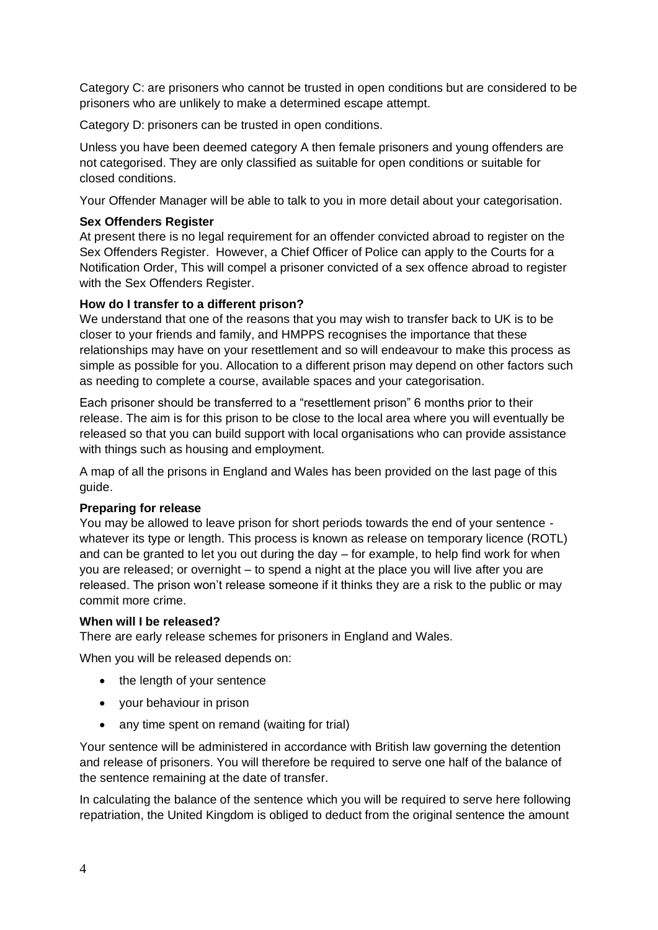Category C: are prisoners who cannot be trusted in open conditions but are considered to be prisoners who are unlikely to make a determined escape attempt.

Category D: prisoners can be trusted in open conditions.

Unless you have been deemed category A then female prisoners and young offenders are not categorised. They are only classified as suitable for open conditions or suitable for closed conditions.

Your Offender Manager will be able to talk to you in more detail about your categorisation.

### **Sex Offenders Register**

At present there is no legal requirement for an offender convicted abroad to register on the Sex Offenders Register. However, a Chief Officer of Police can apply to the Courts for a Notification Order, This will compel a prisoner convicted of a sex offence abroad to register with the Sex Offenders Register.

### **How do I transfer to a different prison?**

We understand that one of the reasons that you may wish to transfer back to UK is to be closer to your friends and family, and HMPPS recognises the importance that these relationships may have on your resettlement and so will endeavour to make this process as simple as possible for you. Allocation to a different prison may depend on other factors such as needing to complete a course, available spaces and your categorisation.

Each prisoner should be transferred to a "resettlement prison" 6 months prior to their release. The aim is for this prison to be close to the local area where you will eventually be released so that you can build support with local organisations who can provide assistance with things such as housing and employment.

A map of all the prisons in England and Wales has been provided on the last page of this guide.

### **Preparing for release**

You may be allowed to leave prison for short periods towards the end of your sentence whatever its type or length. This process is known as release on temporary licence (ROTL) and can be granted to let you out during the day – for example, to help find work for when you are released; or overnight – to spend a night at the place you will live after you are released. The prison won't release someone if it thinks they are a risk to the public or may commit more crime.

### **When will I be released?**

There are early release schemes for prisoners in England and Wales.

When you will be released depends on:

- the length of your sentence
- your behaviour in prison
- any time spent on remand (waiting for trial)

Your sentence will be administered in accordance with British law governing the detention and release of prisoners. You will therefore be required to serve one half of the balance of the sentence remaining at the date of transfer.

In calculating the balance of the sentence which you will be required to serve here following repatriation, the United Kingdom is obliged to deduct from the original sentence the amount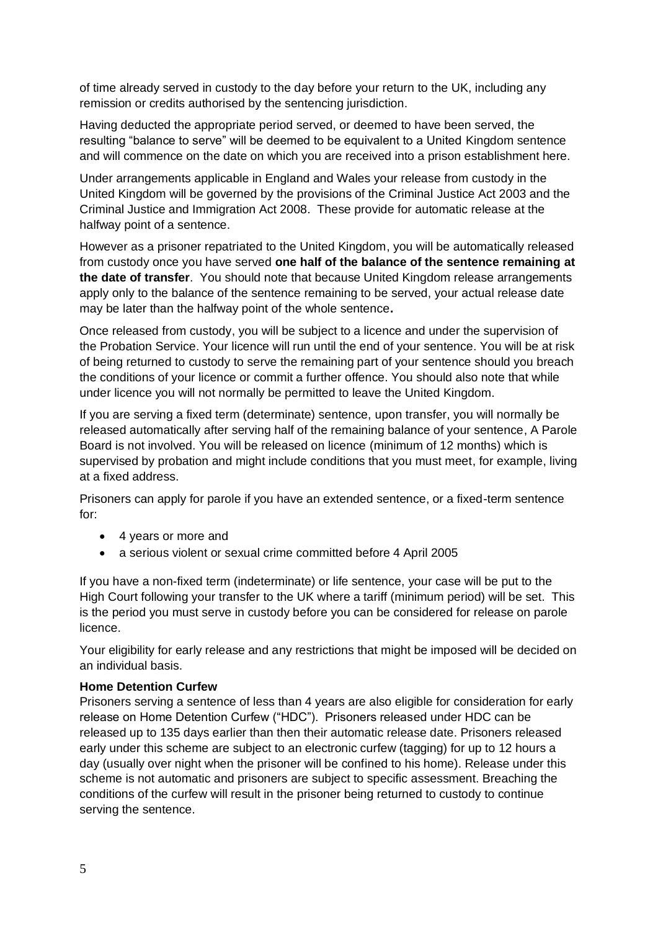of time already served in custody to the day before your return to the UK, including any remission or credits authorised by the sentencing jurisdiction.

Having deducted the appropriate period served, or deemed to have been served, the resulting "balance to serve" will be deemed to be equivalent to a United Kingdom sentence and will commence on the date on which you are received into a prison establishment here.

Under arrangements applicable in England and Wales your release from custody in the United Kingdom will be governed by the provisions of the Criminal Justice Act 2003 and the Criminal Justice and Immigration Act 2008. These provide for automatic release at the halfway point of a sentence.

However as a prisoner repatriated to the United Kingdom, you will be automatically released from custody once you have served **one half of the balance of the sentence remaining at the date of transfer**. You should note that because United Kingdom release arrangements apply only to the balance of the sentence remaining to be served, your actual release date may be later than the halfway point of the whole sentence**.**

Once released from custody, you will be subject to a licence and under the supervision of the Probation Service. Your licence will run until the end of your sentence. You will be at risk of being returned to custody to serve the remaining part of your sentence should you breach the conditions of your licence or commit a further offence. You should also note that while under licence you will not normally be permitted to leave the United Kingdom.

If you are serving a fixed term (determinate) sentence, upon transfer, you will normally be released automatically after serving half of the remaining balance of your sentence, A Parole Board is not involved. You will be released on licence (minimum of 12 months) which is supervised by probation and might include conditions that you must meet, for example, living at a fixed address.

Prisoners can apply for parole if you have an extended sentence, or a fixed-term sentence for:

- 4 years or more and
- a serious violent or sexual crime committed before 4 April 2005

If you have a non-fixed term (indeterminate) or life sentence, your case will be put to the High Court following your transfer to the UK where a tariff (minimum period) will be set. This is the period you must serve in custody before you can be considered for release on parole licence.

Your eligibility for early release and any restrictions that might be imposed will be decided on an individual basis.

### **Home Detention Curfew**

Prisoners serving a sentence of less than 4 years are also eligible for consideration for early release on Home Detention Curfew ("HDC"). Prisoners released under HDC can be released up to 135 days earlier than then their automatic release date. Prisoners released early under this scheme are subject to an electronic curfew (tagging) for up to 12 hours a day (usually over night when the prisoner will be confined to his home). Release under this scheme is not automatic and prisoners are subject to specific assessment. Breaching the conditions of the curfew will result in the prisoner being returned to custody to continue serving the sentence.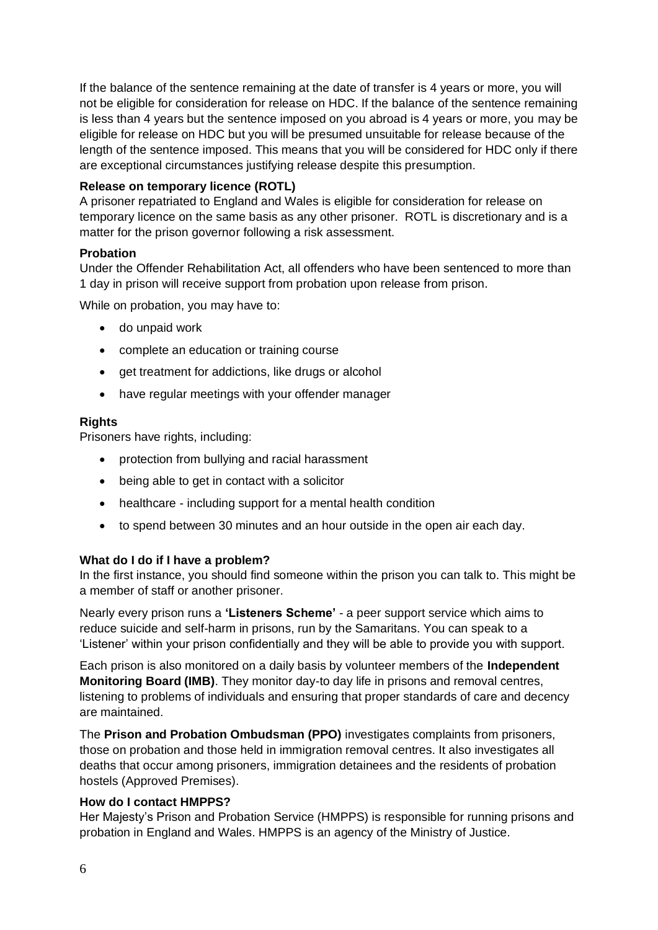If the balance of the sentence remaining at the date of transfer is 4 years or more, you will not be eligible for consideration for release on HDC. If the balance of the sentence remaining is less than 4 years but the sentence imposed on you abroad is 4 years or more, you may be eligible for release on HDC but you will be presumed unsuitable for release because of the length of the sentence imposed. This means that you will be considered for HDC only if there are exceptional circumstances justifying release despite this presumption.

### **Release on temporary licence (ROTL)**

A prisoner repatriated to England and Wales is eligible for consideration for release on temporary licence on the same basis as any other prisoner. ROTL is discretionary and is a matter for the prison governor following a risk assessment.

### **Probation**

Under the Offender Rehabilitation Act, all offenders who have been sentenced to more than 1 day in prison will receive support from probation upon release from prison.

While on probation, you may have to:

- do unpaid work
- complete an education or training course
- get treatment for addictions, like drugs or alcohol
- have regular meetings with your offender manager

### **Rights**

Prisoners have rights, including:

- protection from bullying and racial harassment
- being able to get in contact with a solicitor
- healthcare including support for a mental health condition
- to spend between 30 minutes and an hour outside in the open air each day.

### **What do I do if I have a problem?**

In the first instance, you should find someone within the prison you can talk to. This might be a member of staff or another prisoner.

Nearly every prison runs a **'Listeners Scheme'** - a peer support service which aims to reduce suicide and self-harm in prisons, run by the Samaritans. You can speak to a 'Listener' within your prison confidentially and they will be able to provide you with support.

Each prison is also monitored on a daily basis by volunteer members of the **Independent Monitoring Board (IMB)**. They monitor day-to day life in prisons and removal centres, listening to problems of individuals and ensuring that proper standards of care and decency are maintained.

The **Prison and Probation Ombudsman (PPO)** investigates complaints from prisoners, those on probation and those held in immigration removal centres. It also investigates all deaths that occur among prisoners, immigration detainees and the residents of probation hostels (Approved Premises).

### **How do I contact HMPPS?**

Her Majesty's Prison and Probation Service (HMPPS) is responsible for running prisons and probation in England and Wales. HMPPS is an agency of the Ministry of Justice.